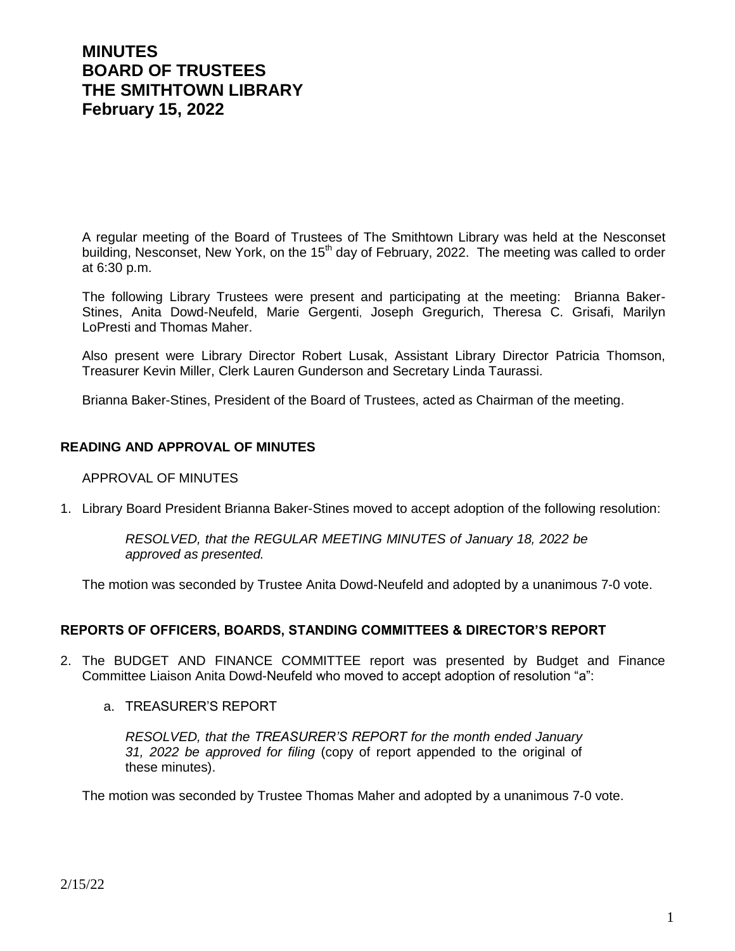# **MINUTES BOARD OF TRUSTEES THE SMITHTOWN LIBRARY February 15, 2022**

A regular meeting of the Board of Trustees of The Smithtown Library was held at the Nesconset building, Nesconset, New York, on the 15<sup>th</sup> day of February, 2022. The meeting was called to order at 6:30 p.m.

The following Library Trustees were present and participating at the meeting: Brianna Baker-Stines, Anita Dowd-Neufeld, Marie Gergenti, Joseph Gregurich, Theresa C. Grisafi, Marilyn LoPresti and Thomas Maher.

Also present were Library Director Robert Lusak, Assistant Library Director Patricia Thomson, Treasurer Kevin Miller, Clerk Lauren Gunderson and Secretary Linda Taurassi.

Brianna Baker-Stines, President of the Board of Trustees, acted as Chairman of the meeting.

# **READING AND APPROVAL OF MINUTES**

# APPROVAL OF MINUTES

1. Library Board President Brianna Baker-Stines moved to accept adoption of the following resolution:

*RESOLVED, that the REGULAR MEETING MINUTES of January 18, 2022 be approved as presented.*

The motion was seconded by Trustee Anita Dowd-Neufeld and adopted by a unanimous 7-0 vote.

# **REPORTS OF OFFICERS, BOARDS, STANDING COMMITTEES & DIRECTOR'S REPORT**

- 2. The BUDGET AND FINANCE COMMITTEE report was presented by Budget and Finance Committee Liaison Anita Dowd-Neufeld who moved to accept adoption of resolution "a":
	- a. TREASURER'S REPORT

*RESOLVED, that the TREASURER'S REPORT for the month ended January 31, 2022 be approved for filing* (copy of report appended to the original of these minutes).

The motion was seconded by Trustee Thomas Maher and adopted by a unanimous 7-0 vote.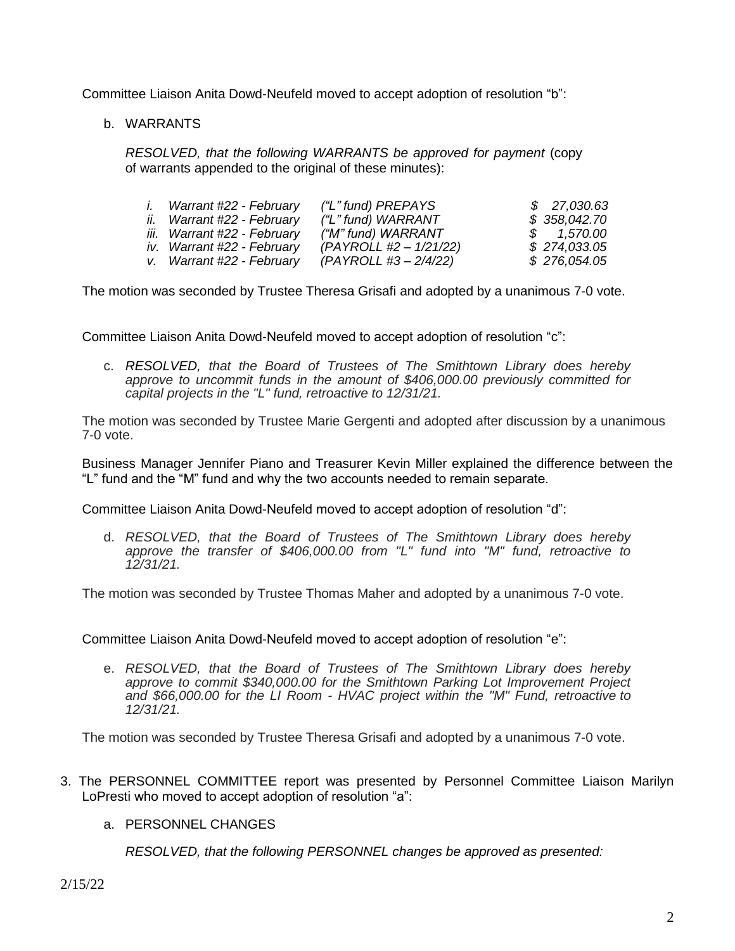Committee Liaison Anita Dowd-Neufeld moved to accept adoption of resolution "b":

b. WARRANTS

*RESOLVED, that the following WARRANTS be approved for payment* (copy of warrants appended to the original of these minutes):

| Warrant #22 - February      | ("L" fund) PREPAYS       | \$27,030.63  |
|-----------------------------|--------------------------|--------------|
| ii. Warrant #22 - February  | ("L" fund) WARRANT       | \$358,042.70 |
| iii. Warrant #22 - February | ("M" fund) WARRANT       | \$ 1.570.00  |
| iv. Warrant #22 - February  | $(PAYROLL #2 - 1/21/22)$ | \$274,033.05 |
| v. Warrant #22 - February   | (PAYROLL #3 – 2/4/22)    | \$276,054.05 |

The motion was seconded by Trustee Theresa Grisafi and adopted by a unanimous 7-0 vote.

Committee Liaison Anita Dowd-Neufeld moved to accept adoption of resolution "c":

c. *RESOLVED, that the Board of Trustees of The Smithtown Library does hereby approve to uncommit funds in the amount of \$406,000.00 previously committed for capital projects in the "L" fund, retroactive to 12/31/21.*

The motion was seconded by Trustee Marie Gergenti and adopted after discussion by a unanimous 7-0 vote.

Business Manager Jennifer Piano and Treasurer Kevin Miller explained the difference between the "L" fund and the "M" fund and why the two accounts needed to remain separate.

Committee Liaison Anita Dowd-Neufeld moved to accept adoption of resolution "d":

d. *RESOLVED, that the Board of Trustees of The Smithtown Library does hereby approve the transfer of \$406,000.00 from "L" fund into "M" fund, retroactive to 12/31/21.*

The motion was seconded by Trustee Thomas Maher and adopted by a unanimous 7-0 vote.

Committee Liaison Anita Dowd-Neufeld moved to accept adoption of resolution "e":

e. *RESOLVED, that the Board of Trustees of The Smithtown Library does hereby approve to commit \$340,000.00 for the Smithtown Parking Lot Improvement Project and \$66,000.00 for the LI Room - HVAC project within the "M" Fund, retroactive to 12/31/21.*

The motion was seconded by Trustee Theresa Grisafi and adopted by a unanimous 7-0 vote.

3. The PERSONNEL COMMITTEE report was presented by Personnel Committee Liaison Marilyn LoPresti who moved to accept adoption of resolution "a":

# a. PERSONNEL CHANGES

*RESOLVED, that the following PERSONNEL changes be approved as presented:*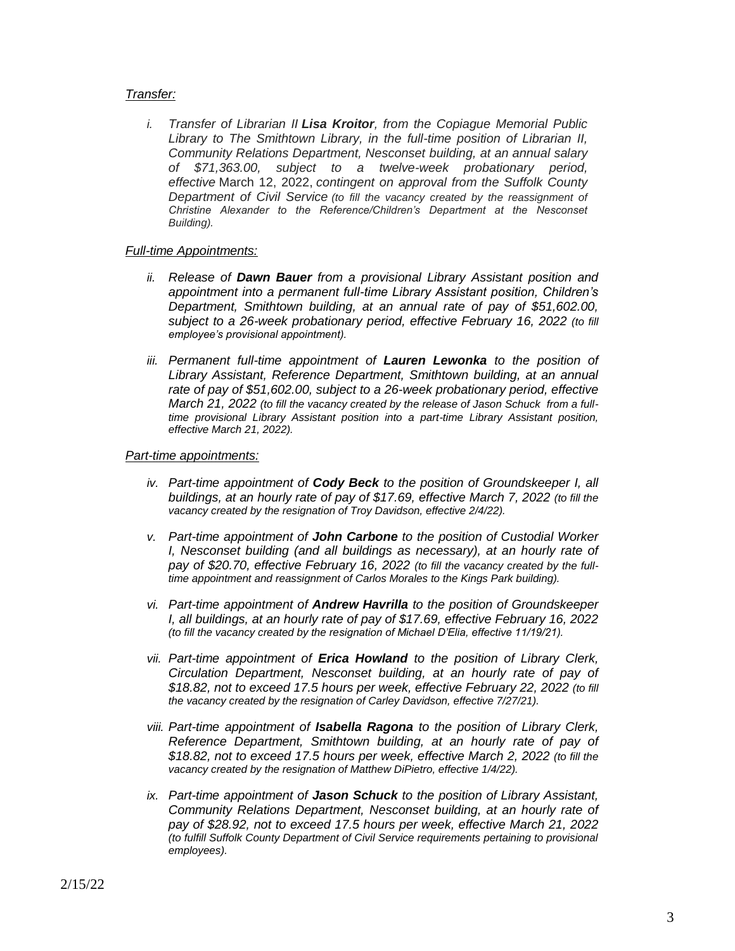#### *Transfer:*

*i. Transfer of Librarian II Lisa Kroitor, from the Copiague Memorial Public Library to The Smithtown Library, in the full-time position of Librarian II, Community Relations Department, Nesconset building, at an annual salary of \$71,363.00, subject to a twelve-week probationary period, effective* March 12, 2022, *contingent on approval from the Suffolk County Department of Civil Service (to fill the vacancy created by the reassignment of Christine Alexander to the Reference/Children's Department at the Nesconset Building).*

#### *Full-time Appointments:*

- *ii. Release of Dawn Bauer from a provisional Library Assistant position and appointment into a permanent full-time Library Assistant position, Children's Department, Smithtown building, at an annual rate of pay of \$51,602.00, subject to a 26-week probationary period, effective February 16, 2022 (to fill employee's provisional appointment).*
- *iii. Permanent full-time appointment of Lauren Lewonka to the position of Library Assistant, Reference Department, Smithtown building, at an annual rate of pay of \$51,602.00, subject to a 26-week probationary period, effective March 21, 2022 (to fill the vacancy created by the release of Jason Schuck from a fulltime provisional Library Assistant position into a part-time Library Assistant position, effective March 21, 2022).*

#### *Part-time appointments:*

- *iv. Part-time appointment of Cody Beck to the position of Groundskeeper I, all buildings, at an hourly rate of pay of \$17.69, effective March 7, 2022 (to fill the vacancy created by the resignation of Troy Davidson, effective 2/4/22).*
- *v. Part-time appointment of John Carbone to the position of Custodial Worker I*, Nesconset building (and all buildings as necessary), at an hourly rate of *pay of \$20.70, effective February 16, 2022 (to fill the vacancy created by the fulltime appointment and reassignment of Carlos Morales to the Kings Park building).*
- *vi. Part-time appointment of Andrew Havrilla to the position of Groundskeeper I, all buildings, at an hourly rate of pay of \$17.69, effective February 16, 2022 (to fill the vacancy created by the resignation of Michael D'Elia, effective 11/19/21).*
- *vii. Part-time appointment of Erica Howland to the position of Library Clerk, Circulation Department, Nesconset building, at an hourly rate of pay of \$18.82, not to exceed 17.5 hours per week, effective February 22, 2022 (to fill the vacancy created by the resignation of Carley Davidson, effective 7/27/21).*
- *viii. Part-time appointment of Isabella Ragona to the position of Library Clerk, Reference Department, Smithtown building, at an hourly rate of pay of \$18.82, not to exceed 17.5 hours per week, effective March 2, 2022 (to fill the vacancy created by the resignation of Matthew DiPietro, effective 1/4/22).*
- *ix. Part-time appointment of Jason Schuck to the position of Library Assistant, Community Relations Department, Nesconset building, at an hourly rate of pay of \$28.92, not to exceed 17.5 hours per week, effective March 21, 2022 (to fulfill Suffolk County Department of Civil Service requirements pertaining to provisional employees).*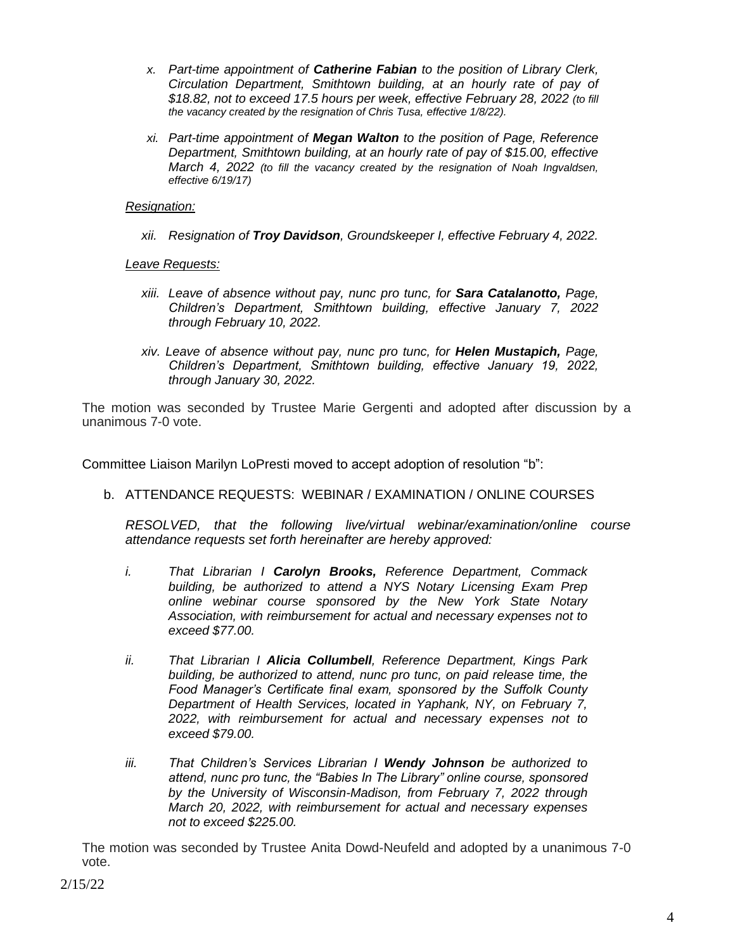- *x. Part-time appointment of Catherine Fabian to the position of Library Clerk, Circulation Department, Smithtown building, at an hourly rate of pay of \$18.82, not to exceed 17.5 hours per week, effective February 28, 2022 (to fill the vacancy created by the resignation of Chris Tusa, effective 1/8/22).*
- *xi. Part-time appointment of Megan Walton to the position of Page, Reference Department, Smithtown building, at an hourly rate of pay of \$15.00, effective March 4, 2022 (to fill the vacancy created by the resignation of Noah Ingvaldsen, effective 6/19/17)*

*Resignation:*

*xii. Resignation of Troy Davidson, Groundskeeper I, effective February 4, 2022.*

*Leave Requests:*

- *xiii. Leave of absence without pay, nunc pro tunc, for Sara Catalanotto, Page, Children's Department, Smithtown building, effective January 7, 2022 through February 10, 2022.*
- *xiv. Leave of absence without pay, nunc pro tunc, for Helen Mustapich, Page, Children's Department, Smithtown building, effective January 19, 2022, through January 30, 2022.*

The motion was seconded by Trustee Marie Gergenti and adopted after discussion by a unanimous 7-0 vote.

Committee Liaison Marilyn LoPresti moved to accept adoption of resolution "b":

b. ATTENDANCE REQUESTS: WEBINAR / EXAMINATION / ONLINE COURSES

*RESOLVED, that the following live/virtual webinar/examination/online course attendance requests set forth hereinafter are hereby approved:*

- *i. That Librarian I Carolyn Brooks, Reference Department, Commack building, be authorized to attend a NYS Notary Licensing Exam Prep online webinar course sponsored by the New York State Notary Association, with reimbursement for actual and necessary expenses not to exceed \$77.00.*
- *ii. That Librarian I Alicia Collumbell, Reference Department, Kings Park building, be authorized to attend, nunc pro tunc, on paid release time, the Food Manager's Certificate final exam, sponsored by the Suffolk County Department of Health Services, located in Yaphank, NY, on February 7, 2022, with reimbursement for actual and necessary expenses not to exceed \$79.00.*
- *iii. That Children's Services Librarian I Wendy Johnson be authorized to attend, nunc pro tunc, the "Babies In The Library" online course, sponsored by the University of Wisconsin-Madison, from February 7, 2022 through March 20, 2022, with reimbursement for actual and necessary expenses not to exceed \$225.00.*

The motion was seconded by Trustee Anita Dowd-Neufeld and adopted by a unanimous 7-0 vote.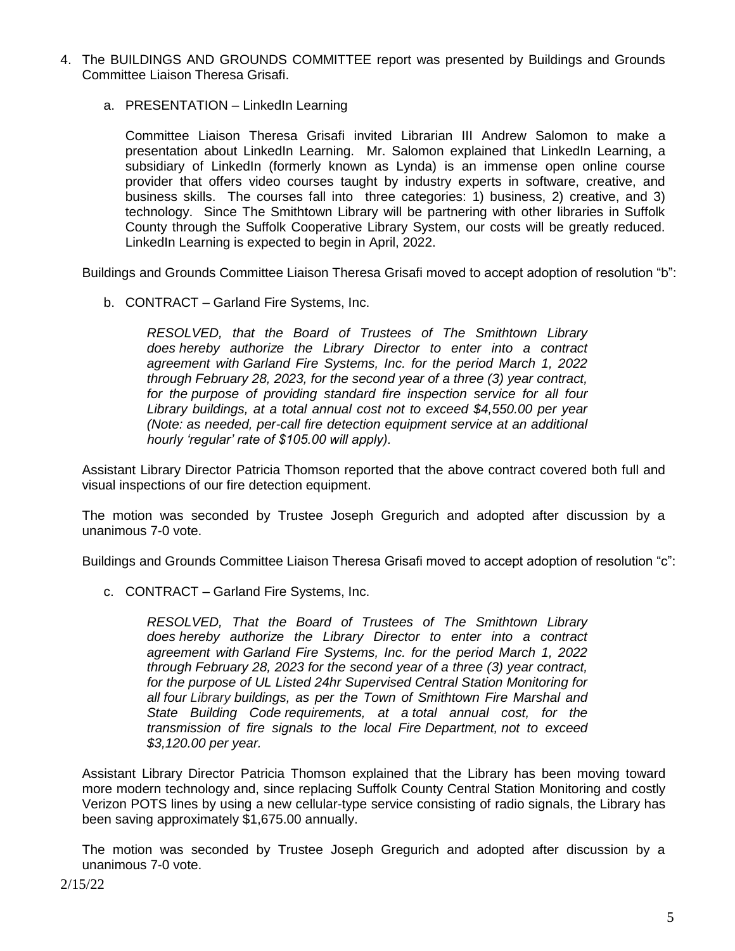- 4. The BUILDINGS AND GROUNDS COMMITTEE report was presented by Buildings and Grounds Committee Liaison Theresa Grisafi.
	- a. PRESENTATION LinkedIn Learning

Committee Liaison Theresa Grisafi invited Librarian III Andrew Salomon to make a presentation about LinkedIn Learning. Mr. Salomon explained that LinkedIn Learning, a subsidiary of LinkedIn (formerly known as Lynda) is an immense open online course provider that offers video courses taught by industry experts in software, creative, and business skills. The courses fall into three categories: 1) business, 2) creative, and 3) technology. Since The Smithtown Library will be partnering with other libraries in Suffolk County through the Suffolk Cooperative Library System, our costs will be greatly reduced. LinkedIn Learning is expected to begin in April, 2022.

Buildings and Grounds Committee Liaison Theresa Grisafi moved to accept adoption of resolution "b":

b. CONTRACT – Garland Fire Systems, Inc.

*RESOLVED, that the Board of Trustees of The Smithtown Library does hereby authorize the Library Director to enter into a contract agreement with Garland Fire Systems, Inc. for the period March 1, 2022 through February 28, 2023, for the second year of a three (3) year contract, for the purpose of providing standard fire inspection service for all four Library buildings, at a total annual cost not to exceed \$4,550.00 per year (Note: as needed, per-call fire detection equipment service at an additional hourly 'regular' rate of \$105.00 will apply).*

Assistant Library Director Patricia Thomson reported that the above contract covered both full and visual inspections of our fire detection equipment.

The motion was seconded by Trustee Joseph Gregurich and adopted after discussion by a unanimous 7-0 vote.

Buildings and Grounds Committee Liaison Theresa Grisafi moved to accept adoption of resolution "c":

c. CONTRACT – Garland Fire Systems, Inc.

*RESOLVED, That the Board of Trustees of The Smithtown Library does hereby authorize the Library Director to enter into a contract agreement with Garland Fire Systems, Inc. for the period March 1, 2022 through February 28, 2023 for the second year of a three (3) year contract, for the purpose of UL Listed 24hr Supervised Central Station Monitoring for all four Library buildings, as per the Town of Smithtown Fire Marshal and State Building Code requirements, at a total annual cost, for the transmission of fire signals to the local Fire Department, not to exceed \$3,120.00 per year.*

Assistant Library Director Patricia Thomson explained that the Library has been moving toward more modern technology and, since replacing Suffolk County Central Station Monitoring and costly Verizon POTS lines by using a new cellular-type service consisting of radio signals, the Library has been saving approximately \$1,675.00 annually.

The motion was seconded by Trustee Joseph Gregurich and adopted after discussion by a unanimous 7-0 vote.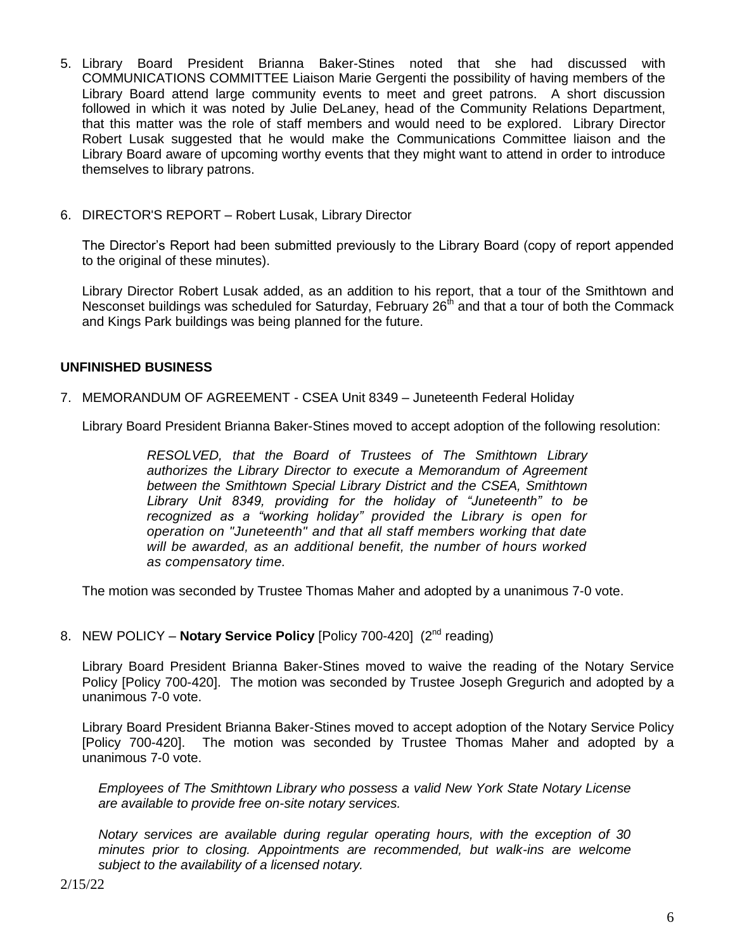- 5. Library Board President Brianna Baker-Stines noted that she had discussed with COMMUNICATIONS COMMITTEE Liaison Marie Gergenti the possibility of having members of the Library Board attend large community events to meet and greet patrons. A short discussion followed in which it was noted by Julie DeLaney, head of the Community Relations Department, that this matter was the role of staff members and would need to be explored. Library Director Robert Lusak suggested that he would make the Communications Committee liaison and the Library Board aware of upcoming worthy events that they might want to attend in order to introduce themselves to library patrons.
- 6. DIRECTOR'S REPORT Robert Lusak, Library Director

The Director's Report had been submitted previously to the Library Board (copy of report appended to the original of these minutes).

Library Director Robert Lusak added, as an addition to his report, that a tour of the Smithtown and Nesconset buildings was scheduled for Saturday, February  $26<sup>th</sup>$  and that a tour of both the Commack and Kings Park buildings was being planned for the future.

### **UNFINISHED BUSINESS**

7. MEMORANDUM OF AGREEMENT - CSEA Unit 8349 – Juneteenth Federal Holiday

Library Board President Brianna Baker-Stines moved to accept adoption of the following resolution:

*RESOLVED, that the Board of Trustees of The Smithtown Library authorizes the Library Director to execute a Memorandum of Agreement between the Smithtown Special Library District and the CSEA, Smithtown Library Unit 8349, providing for the holiday of "Juneteenth" to be recognized as a "working holiday" provided the Library is open for operation on "Juneteenth" and that all staff members working that date will be awarded, as an additional benefit, the number of hours worked as compensatory time.*

The motion was seconded by Trustee Thomas Maher and adopted by a unanimous 7-0 vote.

8. NEW POLICY - **Notary Service Policy** [Policy 700-420] (2<sup>nd</sup> reading)

Library Board President Brianna Baker-Stines moved to waive the reading of the Notary Service Policy [Policy 700-420]. The motion was seconded by Trustee Joseph Gregurich and adopted by a unanimous 7-0 vote.

Library Board President Brianna Baker-Stines moved to accept adoption of the Notary Service Policy [Policy 700-420]. The motion was seconded by Trustee Thomas Maher and adopted by a unanimous 7-0 vote.

*Employees of The Smithtown Library who possess a valid New York State Notary License are available to provide free on-site notary services.*

*Notary services are available during regular operating hours, with the exception of 30 minutes prior to closing. Appointments are recommended, but walk-ins are welcome subject to the availability of a licensed notary.*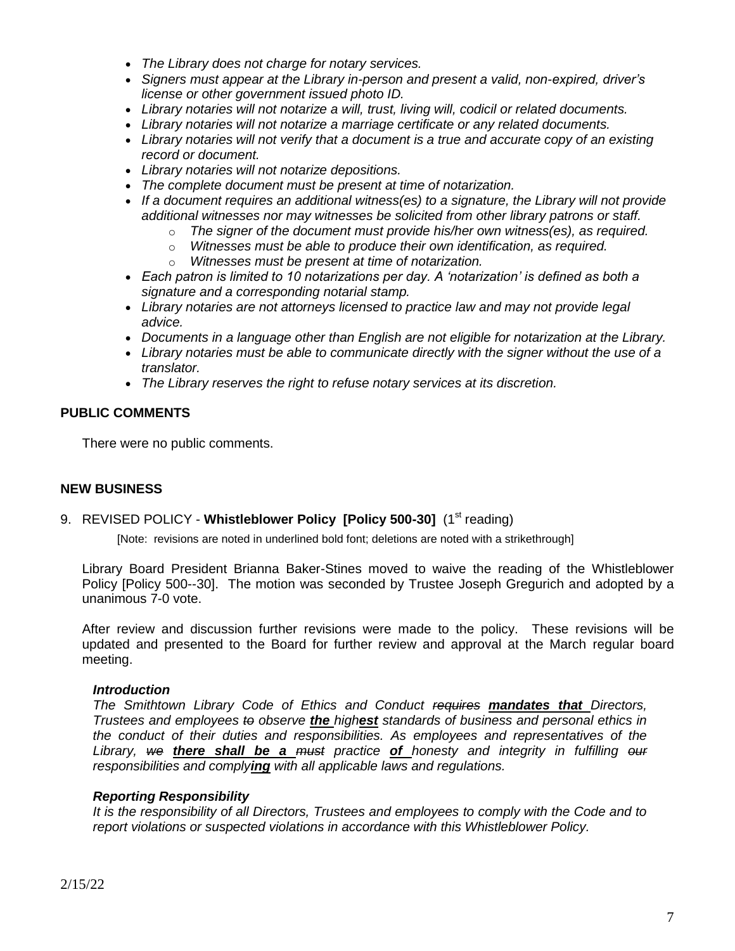- *The Library does not charge for notary services.*
- *Signers must appear at the Library in-person and present a valid, non-expired, driver's license or other government issued photo ID.*
- *Library notaries will not notarize a will, trust, living will, codicil or related documents.*
- *Library notaries will not notarize a marriage certificate or any related documents.*
- *Library notaries will not verify that a document is a true and accurate copy of an existing record or document.*
- *Library notaries will not notarize depositions.*
- *The complete document must be present at time of notarization.*
- *If a document requires an additional witness(es) to a signature, the Library will not provide additional witnesses nor may witnesses be solicited from other library patrons or staff.*
	- o *The signer of the document must provide his/her own witness(es), as required.*
	- o *Witnesses must be able to produce their own identification, as required.*
	- o *Witnesses must be present at time of notarization.*
- *Each patron is limited to 10 notarizations per day. A 'notarization' is defined as both a signature and a corresponding notarial stamp.*
- *Library notaries are not attorneys licensed to practice law and may not provide legal advice.*
- *Documents in a language other than English are not eligible for notarization at the Library.*
- *Library notaries must be able to communicate directly with the signer without the use of a translator.*
- *The Library reserves the right to refuse notary services at its discretion.*

# **PUBLIC COMMENTS**

There were no public comments.

#### **NEW BUSINESS**

# 9. REVISED POLICY - Whistleblower Policy [Policy 500-30] (1<sup>st</sup> reading)

[Note: revisions are noted in underlined bold font; deletions are noted with a strikethrough]

Library Board President Brianna Baker-Stines moved to waive the reading of the Whistleblower Policy [Policy 500--30]. The motion was seconded by Trustee Joseph Gregurich and adopted by a unanimous 7-0 vote.

After review and discussion further revisions were made to the policy. These revisions will be updated and presented to the Board for further review and approval at the March regular board meeting.

#### *Introduction*

*The Smithtown Library Code of Ethics and Conduct requires mandates that Directors, Trustees and employees to observe the highest standards of business and personal ethics in the conduct of their duties and responsibilities. As employees and representatives of the Library, we there shall be a must practice of honesty and integrity in fulfilling our responsibilities and complying with all applicable laws and regulations.*

#### *Reporting Responsibility*

*It is the responsibility of all Directors, Trustees and employees to comply with the Code and to report violations or suspected violations in accordance with this Whistleblower Policy.*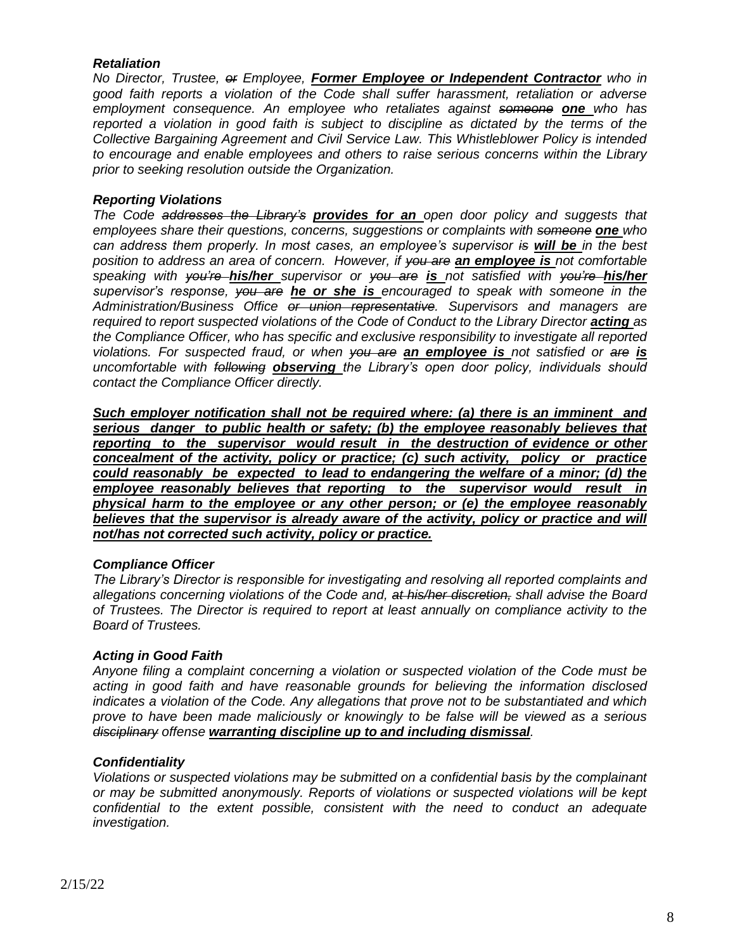### *Retaliation*

*No Director, Trustee, or Employee, Former Employee or Independent Contractor who in good faith reports a violation of the Code shall suffer harassment, retaliation or adverse employment consequence. An employee who retaliates against someone one who has reported a violation in good faith is subject to discipline as dictated by the terms of the Collective Bargaining Agreement and Civil Service Law. This Whistleblower Policy is intended to encourage and enable employees and others to raise serious concerns within the Library prior to seeking resolution outside the Organization.*

#### *Reporting Violations*

*The Code addresses the Library's provides for an open door policy and suggests that employees share their questions, concerns, suggestions or complaints with someone one who can address them properly. In most cases, an employee's supervisor is will be in the best position to address an area of concern. However, if you are an employee is not comfortable speaking with you're his/her supervisor or you are is not satisfied with you're his/her supervisor's response, you are he or she is encouraged to speak with someone in the Administration/Business Office or union representative. Supervisors and managers are required to report suspected violations of the Code of Conduct to the Library Director <i>acting as the Compliance Officer, who has specific and exclusive responsibility to investigate all reported violations. For suspected fraud, or when you are an employee is not satisfied or are is uncomfortable with following observing the Library's open door policy, individuals should contact the Compliance Officer directly.* 

*Such employer notification shall not be required where: (a) there is an imminent and serious danger to public health or safety; (b) the employee reasonably believes that reporting to the supervisor would result in the destruction of evidence or other concealment of the activity, policy or practice; (c) such activity, policy or practice could reasonably be expected to lead to endangering the welfare of a minor; (d) the employee reasonably believes that reporting to the supervisor would result in physical harm to the employee or any other person; or (e) the employee reasonably*  believes that the supervisor is already aware of the activity, policy or practice and will *not/has not corrected such activity, policy or practice.*

# *Compliance Officer*

*The Library's Director is responsible for investigating and resolving all reported complaints and allegations concerning violations of the Code and, at his/her discretion, shall advise the Board of Trustees. The Director is required to report at least annually on compliance activity to the Board of Trustees.* 

#### *Acting in Good Faith*

*Anyone filing a complaint concerning a violation or suspected violation of the Code must be acting in good faith and have reasonable grounds for believing the information disclosed indicates a violation of the Code. Any allegations that prove not to be substantiated and which prove to have been made maliciously or knowingly to be false will be viewed as a serious disciplinary offense warranting discipline up to and including dismissal.*

#### *Confidentiality*

*Violations or suspected violations may be submitted on a confidential basis by the complainant or may be submitted anonymously. Reports of violations or suspected violations will be kept confidential to the extent possible, consistent with the need to conduct an adequate investigation.*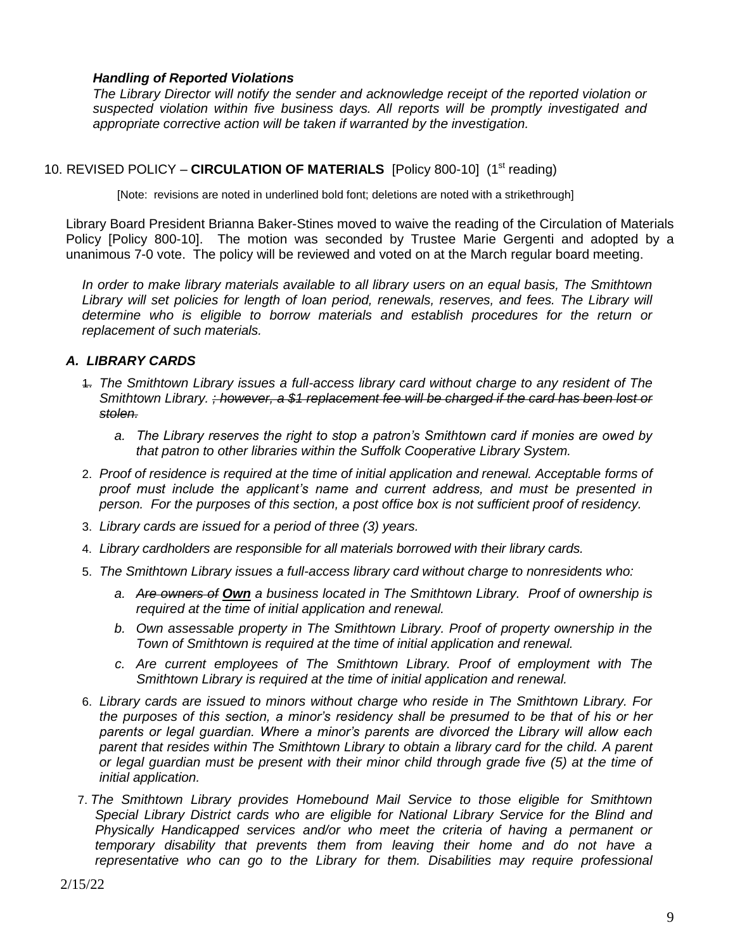### *Handling of Reported Violations*

*The Library Director will notify the sender and acknowledge receipt of the reported violation or suspected violation within five business days. All reports will be promptly investigated and appropriate corrective action will be taken if warranted by the investigation.* 

### 10. REVISED POLICY – CIRCULATION OF MATERIALS [Policy 800-10] (1<sup>st</sup> reading)

[Note: revisions are noted in underlined bold font; deletions are noted with a strikethrough]

Library Board President Brianna Baker-Stines moved to waive the reading of the Circulation of Materials Policy [Policy 800-10]. The motion was seconded by Trustee Marie Gergenti and adopted by a unanimous 7-0 vote. The policy will be reviewed and voted on at the March regular board meeting.

*In order to make library materials available to all library users on an equal basis, The Smithtown Library will set policies for length of loan period, renewals, reserves, and fees. The Library will determine who is eligible to borrow materials and establish procedures for the return or replacement of such materials.*

### *A. LIBRARY CARDS*

- 1. *The Smithtown Library issues a full-access library card without charge to any resident of The Smithtown Library. ; however, a \$1 replacement fee will be charged if the card has been lost or stolen.*
	- *a. The Library reserves the right to stop a patron's Smithtown card if monies are owed by that patron to other libraries within the Suffolk Cooperative Library System.*
- 2. *Proof of residence is required at the time of initial application and renewal. Acceptable forms of proof must include the applicant's name and current address, and must be presented in person. For the purposes of this section, a post office box is not sufficient proof of residency.*
- 3. *Library cards are issued for a period of three (3) years.*
- 4. *Library cardholders are responsible for all materials borrowed with their library cards.*
- 5. *The Smithtown Library issues a full-access library card without charge to nonresidents who:*
	- *a. Are owners of Own a business located in The Smithtown Library. Proof of ownership is required at the time of initial application and renewal.*
	- *b. Own assessable property in The Smithtown Library. Proof of property ownership in the Town of Smithtown is required at the time of initial application and renewal.*
	- *c. Are current employees of The Smithtown Library. Proof of employment with The Smithtown Library is required at the time of initial application and renewal.*
- 6. *Library cards are issued to minors without charge who reside in The Smithtown Library. For the purposes of this section, a minor's residency shall be presumed to be that of his or her parents or legal guardian. Where a minor's parents are divorced the Library will allow each parent that resides within The Smithtown Library to obtain a library card for the child. A parent or legal guardian must be present with their minor child through grade five (5) at the time of initial application.*
- 7. *The Smithtown Library provides Homebound Mail Service to those eligible for Smithtown Special Library District cards who are eligible for National Library Service for the Blind and Physically Handicapped services and/or who meet the criteria of having a permanent or temporary disability that prevents them from leaving their home and do not have a representative who can go to the Library for them. Disabilities may require professional*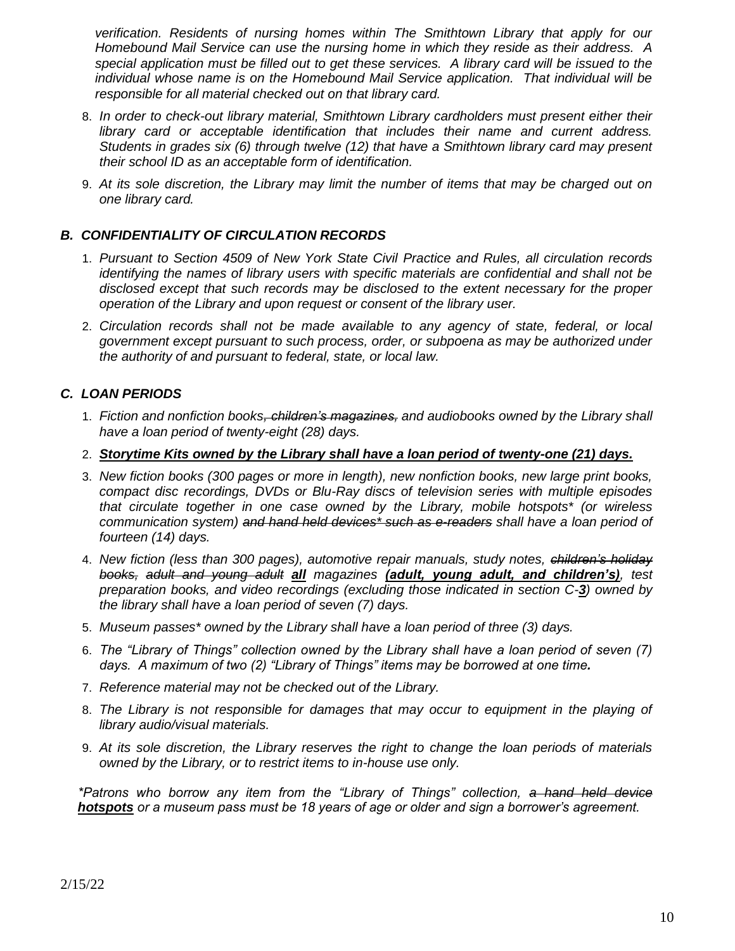*verification. Residents of nursing homes within The Smithtown Library that apply for our Homebound Mail Service can use the nursing home in which they reside as their address. A special application must be filled out to get these services. A library card will be issued to the individual whose name is on the Homebound Mail Service application. That individual will be responsible for all material checked out on that library card.*

- 8. *In order to check-out library material, Smithtown Library cardholders must present either their library card or acceptable identification that includes their name and current address. Students in grades six (6) through twelve (12) that have a Smithtown library card may present their school ID as an acceptable form of identification.*
- 9. *At its sole discretion, the Library may limit the number of items that may be charged out on one library card.*

# *B. CONFIDENTIALITY OF CIRCULATION RECORDS*

- 1. *Pursuant to Section 4509 of New York State Civil Practice and Rules, all circulation records identifying the names of library users with specific materials are confidential and shall not be disclosed except that such records may be disclosed to the extent necessary for the proper operation of the Library and upon request or consent of the library user.*
- 2. *Circulation records shall not be made available to any agency of state, federal, or local government except pursuant to such process, order, or subpoena as may be authorized under the authority of and pursuant to federal, state, or local law.*

# *C. LOAN PERIODS*

- 1. *Fiction and nonfiction books, children's magazines, and audiobooks owned by the Library shall have a loan period of twenty-eight (28) days.*
- 2. *Storytime Kits owned by the Library shall have a loan period of twenty-one (21) days.*
- 3. *New fiction books (300 pages or more in length), new nonfiction books, new large print books, compact disc recordings, DVDs or Blu-Ray discs of television series with multiple episodes that circulate together in one case owned by the Library, mobile hotspots\* (or wireless communication system) and hand held devices\* such as e-readers shall have a loan period of fourteen (14) days.*
- 4. *New fiction (less than 300 pages), automotive repair manuals, study notes, children's holiday books, adult and young adult all magazines (adult, young adult, and children's), test preparation books, and video recordings (excluding those indicated in section C-3) owned by the library shall have a loan period of seven (7) days.*
- 5. *Museum passes\* owned by the Library shall have a loan period of three (3) days.*
- 6. *The "Library of Things" collection owned by the Library shall have a loan period of seven (7) days. A maximum of two (2) "Library of Things" items may be borrowed at one time.*
- 7. *Reference material may not be checked out of the Library.*
- 8. *The Library is not responsible for damages that may occur to equipment in the playing of library audio/visual materials.*
- 9. *At its sole discretion, the Library reserves the right to change the loan periods of materials owned by the Library, or to restrict items to in-house use only.*

*\*Patrons who borrow any item from the "Library of Things" collection, a hand held device hotspots or a museum pass must be 18 years of age or older and sign a borrower's agreement.*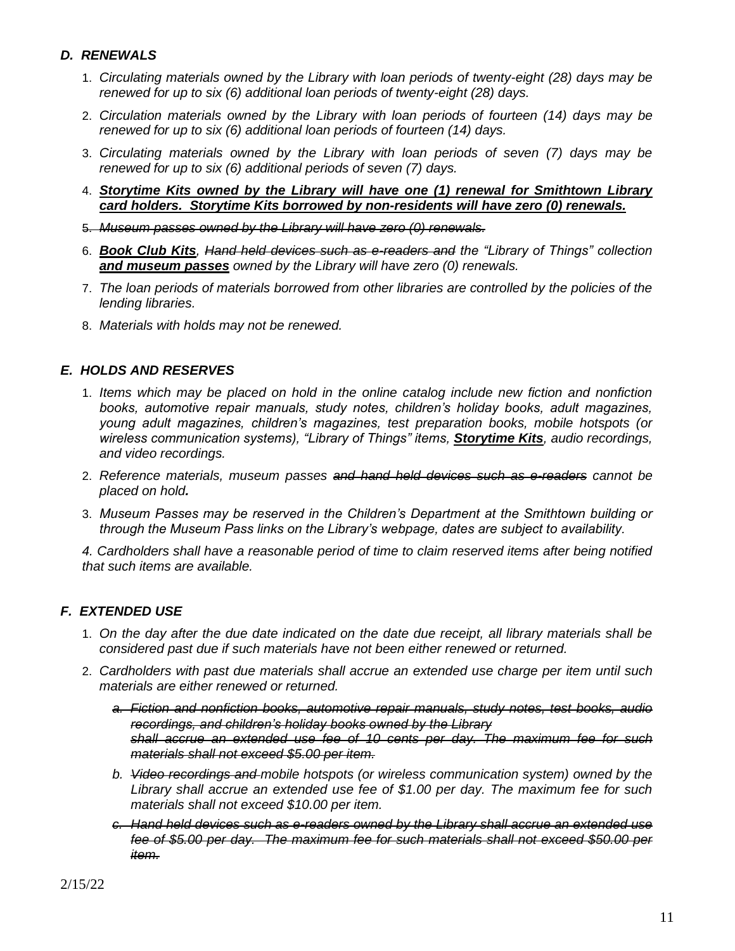# *D. RENEWALS*

- 1. *Circulating materials owned by the Library with loan periods of twenty-eight (28) days may be renewed for up to six (6) additional loan periods of twenty-eight (28) days.*
- 2. *Circulation materials owned by the Library with loan periods of fourteen (14) days may be renewed for up to six (6) additional loan periods of fourteen (14) days.*
- 3. *Circulating materials owned by the Library with loan periods of seven (7) days may be renewed for up to six (6) additional periods of seven (7) days.*
- 4. *Storytime Kits owned by the Library will have one (1) renewal for Smithtown Library card holders. Storytime Kits borrowed by non-residents will have zero (0) renewals.*
- 5. *Museum passes owned by the Library will have zero (0) renewals.*
- 6. *Book Club Kits, Hand held devices such as e-readers and the "Library of Things" collection and museum passes owned by the Library will have zero (0) renewals.*
- 7. *The loan periods of materials borrowed from other libraries are controlled by the policies of the lending libraries.*
- 8. *Materials with holds may not be renewed.*

# *E. HOLDS AND RESERVES*

- 1. *Items which may be placed on hold in the online catalog include new fiction and nonfiction books, automotive repair manuals, study notes, children's holiday books, adult magazines, young adult magazines, children's magazines, test preparation books, mobile hotspots (or wireless communication systems), "Library of Things" items, Storytime Kits, audio recordings, and video recordings.*
- 2. *Reference materials, museum passes and hand held devices such as e-readers cannot be placed on hold.*
- 3. *Museum Passes may be reserved in the Children's Department at the Smithtown building or through the Museum Pass links on the Library's webpage, dates are subject to availability.*

*4. Cardholders shall have a reasonable period of time to claim reserved items after being notified that such items are available.* 

# *F. EXTENDED USE*

- 1. *On the day after the due date indicated on the date due receipt, all library materials shall be considered past due if such materials have not been either renewed or returned.*
- 2. *Cardholders with past due materials shall accrue an extended use charge per item until such materials are either renewed or returned.* 
	- *a. Fiction and nonfiction books, automotive repair manuals, study notes, test books, audio recordings, and children's holiday books owned by the Library shall accrue an extended use fee of 10 cents per day. The maximum fee for such materials shall not exceed \$5.00 per item.*
	- *b. Video recordings and mobile hotspots (or wireless communication system) owned by the Library shall accrue an extended use fee of \$1.00 per day. The maximum fee for such materials shall not exceed \$10.00 per item.*
	- *c. Hand held devices such as e-readers owned by the Library shall accrue an extended use fee of \$5.00 per day. The maximum fee for such materials shall not exceed \$50.00 per item.*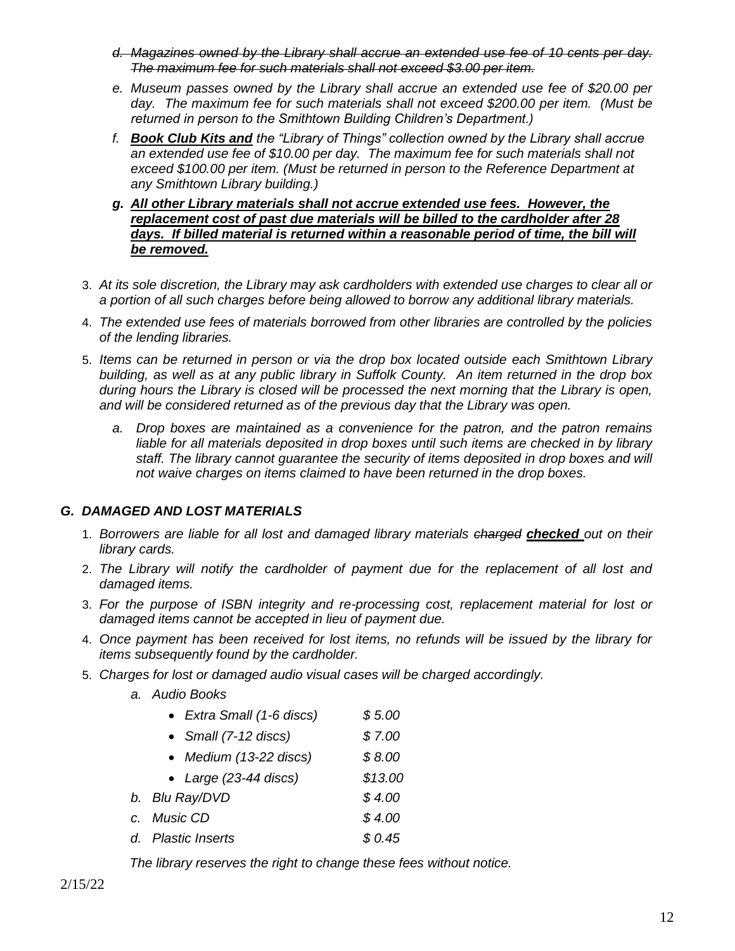- *d. Magazines owned by the Library shall accrue an extended use fee of 10 cents per day. The maximum fee for such materials shall not exceed \$3.00 per item.*
- *e. Museum passes owned by the Library shall accrue an extended use fee of \$20.00 per*  day. The maximum fee for such materials shall not exceed \$200.00 per item. (Must be *returned in person to the Smithtown Building Children's Department.)*
- *f. Book Club Kits and the "Library of Things" collection owned by the Library shall accrue an extended use fee of \$10.00 per day. The maximum fee for such materials shall not exceed \$100.00 per item. (Must be returned in person to the Reference Department at any Smithtown Library building.)*
- *g. All other Library materials shall not accrue extended use fees. However, the replacement cost of past due materials will be billed to the cardholder after 28*  days. If billed material is returned within a reasonable period of time, the bill will *be removed.*
- 3. *At its sole discretion, the Library may ask cardholders with extended use charges to clear all or a portion of all such charges before being allowed to borrow any additional library materials.*
- 4. *The extended use fees of materials borrowed from other libraries are controlled by the policies of the lending libraries.*
- 5. *Items can be returned in person or via the drop box located outside each Smithtown Library building, as well as at any public library in Suffolk County. An item returned in the drop box during hours the Library is closed will be processed the next morning that the Library is open, and will be considered returned as of the previous day that the Library was open.*
	- *a. Drop boxes are maintained as a convenience for the patron, and the patron remains liable for all materials deposited in drop boxes until such items are checked in by library staff. The library cannot guarantee the security of items deposited in drop boxes and will not waive charges on items claimed to have been returned in the drop boxes.*

# *G. DAMAGED AND LOST MATERIALS*

- 1. *Borrowers are liable for all lost and damaged library materials charged checked out on their library cards.*
- 2. *The Library will notify the cardholder of payment due for the replacement of all lost and damaged items.*
- 3. *For the purpose of ISBN integrity and re-processing cost, replacement material for lost or damaged items cannot be accepted in lieu of payment due.*
- 4. *Once payment has been received for lost items, no refunds will be issued by the library for items subsequently found by the cardholder.*
- 5. *Charges for lost or damaged audio visual cases will be charged accordingly.*
	- *a. Audio Books*
		- *Extra Small (1-6 discs) \$ 5.00*
		- *Small (7-12 discs) \$ 7.00*
		- *Medium (13-22 discs) \$ 8.00*
		- *Large (23-44 discs) \$13.00*
	- *b. Blu Ray/DVD \$ 4.00*
	- *c. Music CD \$ 4.00*
	- *d. Plastic Inserts \$ 0.45*

*The library reserves the right to change these fees without notice.*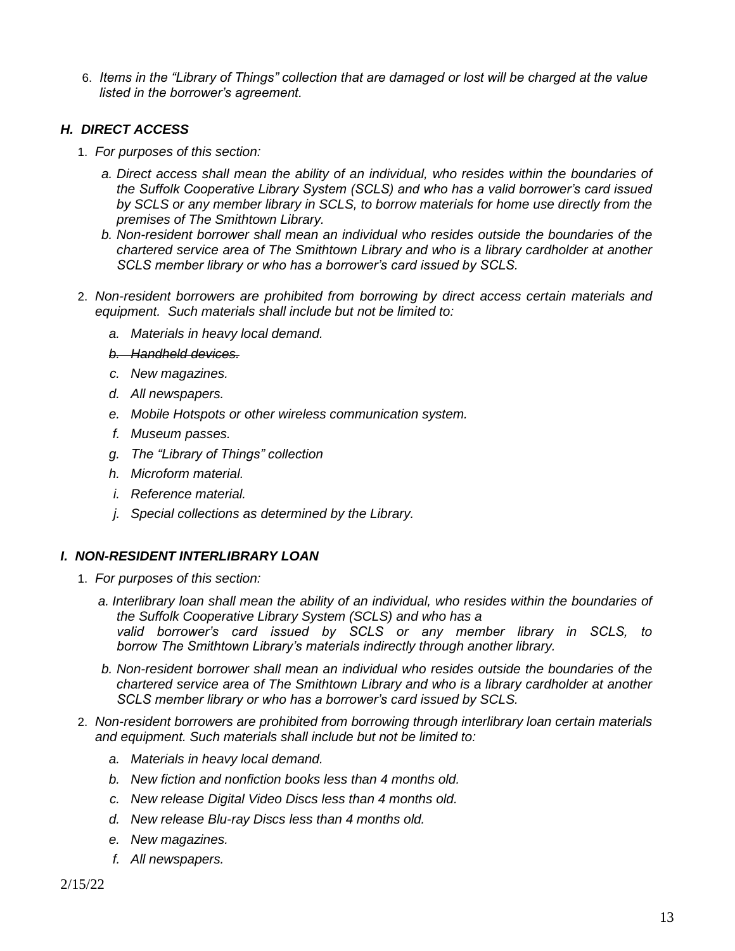6. *Items in the "Library of Things" collection that are damaged or lost will be charged at the value listed in the borrower's agreement.*

# *H. DIRECT ACCESS*

- 1. *For purposes of this section:* 
	- *a. Direct access shall mean the ability of an individual, who resides within the boundaries of the Suffolk Cooperative Library System (SCLS) and who has a valid borrower's card issued by SCLS or any member library in SCLS, to borrow materials for home use directly from the premises of The Smithtown Library.*
	- *b. Non-resident borrower shall mean an individual who resides outside the boundaries of the chartered service area of The Smithtown Library and who is a library cardholder at another SCLS member library or who has a borrower's card issued by SCLS.*
- 2. *Non-resident borrowers are prohibited from borrowing by direct access certain materials and equipment. Such materials shall include but not be limited to:*
	- *a. Materials in heavy local demand.*
	- *b. Handheld devices.*
	- *c. New magazines.*
	- *d. All newspapers.*
	- *e. Mobile Hotspots or other wireless communication system.*
	- *f. Museum passes.*
	- *g. The "Library of Things" collection*
	- *h. Microform material.*
	- *i. Reference material.*
	- *j. Special collections as determined by the Library.*

# *I. NON-RESIDENT INTERLIBRARY LOAN*

- 1. *For purposes of this section:* 
	- *a. Interlibrary loan shall mean the ability of an individual, who resides within the boundaries of the Suffolk Cooperative Library System (SCLS) and who has a valid borrower's card issued by SCLS or any member library in SCLS, to borrow The Smithtown Library's materials indirectly through another library.*
	- *b. Non-resident borrower shall mean an individual who resides outside the boundaries of the chartered service area of The Smithtown Library and who is a library cardholder at another SCLS member library or who has a borrower's card issued by SCLS.*
- 2. *Non-resident borrowers are prohibited from borrowing through interlibrary loan certain materials and equipment. Such materials shall include but not be limited to:*
	- *a. Materials in heavy local demand.*
	- *b. New fiction and nonfiction books less than 4 months old.*
	- *c. New release Digital Video Discs less than 4 months old.*
	- *d. New release Blu-ray Discs less than 4 months old.*
	- *e. New magazines.*
	- *f. All newspapers.*